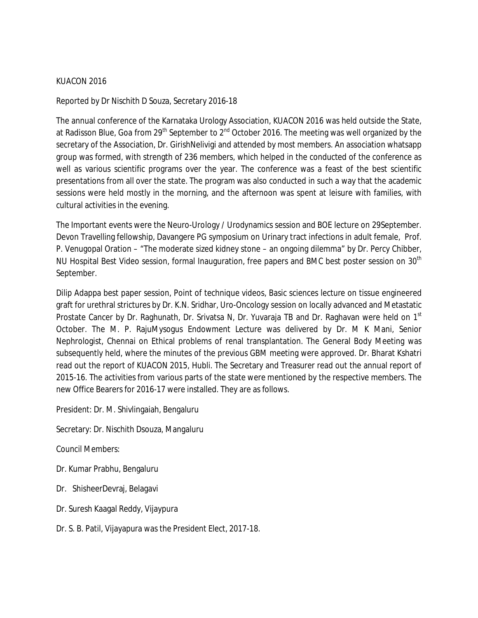## KUACON 2016

Reported by Dr Nischith D Souza, Secretary 2016-18

The annual conference of the Karnataka Urology Association, KUACON 2016 was held outside the State, at Radisson Blue, Goa from 29<sup>th</sup> September to  $2^{nd}$  October 2016. The meeting was well organized by the secretary of the Association, Dr. GirishNelivigi and attended by most members. An association whatsapp group was formed, with strength of 236 members, which helped in the conducted of the conference as well as various scientific programs over the year. The conference was a feast of the best scientific presentations from all over the state. The program was also conducted in such a way that the academic sessions were held mostly in the morning, and the afternoon was spent at leisure with families, with cultural activities in the evening.

The Important events were the Neuro-Urology / Urodynamics session and BOE lecture on 29September. Devon Travelling fellowship, Davangere PG symposium on Urinary tract infections in adult female, Prof. P. Venugopal Oration – "The moderate sized kidney stone – an ongoing dilemma" by Dr. Percy Chibber, NU Hospital Best Video session, formal Inauguration, free papers and BMC best poster session on 30<sup>th</sup> September.

Dilip Adappa best paper session, Point of technique videos, Basic sciences lecture on tissue engineered graft for urethral strictures by Dr. K.N. Sridhar, Uro-Oncology session on locally advanced and Metastatic Prostate Cancer by Dr. Raghunath, Dr. Srivatsa N, Dr. Yuvaraja TB and Dr. Raghavan were held on 1<sup>st</sup> October. The M. P. RajuMysogus Endowment Lecture was delivered by Dr. M K Mani, Senior Nephrologist, Chennai on Ethical problems of renal transplantation. The General Body Meeting was subsequently held, where the minutes of the previous GBM meeting were approved. Dr. Bharat Kshatri read out the report of KUACON 2015, Hubli. The Secretary and Treasurer read out the annual report of 2015-16. The activities from various parts of the state were mentioned by the respective members. The new Office Bearers for 2016-17 were installed. They are as follows.

President: Dr. M. Shivlingaiah, Bengaluru

Secretary: Dr. Nischith Dsouza, Mangaluru

Council Members:

- Dr. Kumar Prabhu, Bengaluru
- Dr. ShisheerDevraj, Belagavi
- Dr. Suresh Kaagal Reddy, Vijaypura
- Dr. S. B. Patil, Vijayapura was the President Elect, 2017-18.